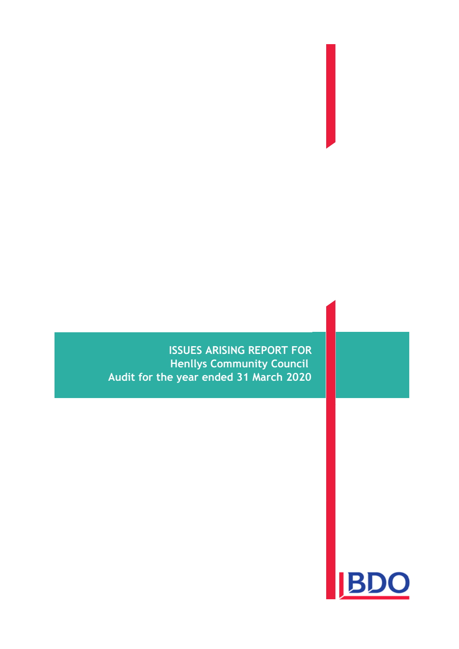**ISSUES ARISING REPORT FOR Henllys Community Council Audit for the year ended 31 March 2020**

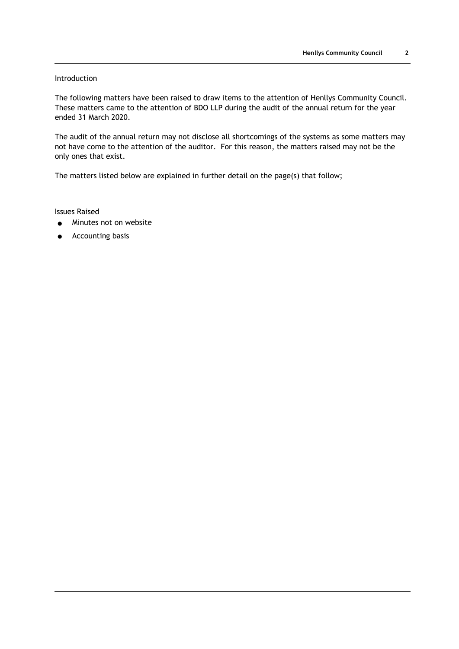# Introduction

The following matters have been raised to draw items to the attention of Henllys Community Council. These matters came to the attention of BDO LLP during the audit of the annual return for the year ended 31 March 2020.

The audit of the annual return may not disclose all shortcomings of the systems as some matters may not have come to the attention of the auditor. For this reason, the matters raised may not be the only ones that exist.

The matters listed below are explained in further detail on the page(s) that follow;

Issues Raised

- Minutes not on website
- Accounting basis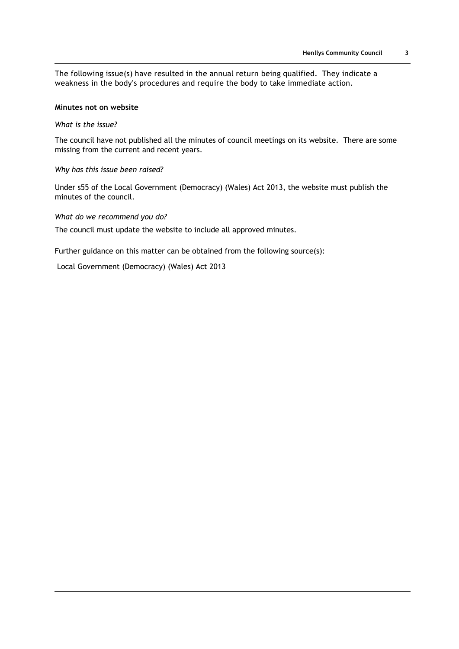The following issue(s) have resulted in the annual return being qualified. They indicate a weakness in the body's procedures and require the body to take immediate action.

## **Minutes not on website**

*What is the issue?*

The council have not published all the minutes of council meetings on its website. There are some missing from the current and recent years.

### *Why has this issue been raised?*

Under s55 of the Local Government (Democracy) (Wales) Act 2013, the website must publish the minutes of the council.

*What do we recommend you do?*

The council must update the website to include all approved minutes.

Further guidance on this matter can be obtained from the following source(s):

Local Government (Democracy) (Wales) Act 2013